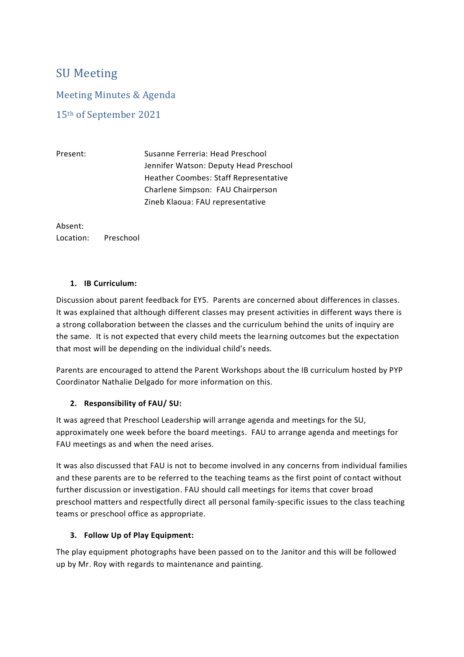# SU Meeting

Meeting Minutes & Agenda

15th of September 2021

Present: Susanne Ferreria: Head Preschool Jennifer Watson: Deputy Head Preschool Heather Coombes: Staff Representative Charlene Simpson: FAU Chairperson Zineb Klaoua: FAU representative

Absent: Location: Preschool

### **1. IB Curriculum:**

Discussion about parent feedback for EY5. Parents are concerned about differences in classes. It was explained that although different classes may present activities in different ways there is a strong collaboration between the classes and the curriculum behind the units of inquiry are the same. It is not expected that every child meets the learning outcomes but the expectation that most will be depending on the individual child's needs.

Parents are encouraged to attend the Parent Workshops about the IB curriculum hosted by PYP Coordinator Nathalie Delgado for more information on this.

### **2. Responsibility of FAU/ SU:**

It was agreed that Preschool Leadership will arrange agenda and meetings for the SU, approximately one week before the board meetings. FAU to arrange agenda and meetings for FAU meetings as and when the need arises.

It was also discussed that FAU is not to become involved in any concerns from individual families and these parents are to be referred to the teaching teams as the first point of contact without further discussion or investigation. FAU should call meetings for items that cover broad preschool matters and respectfully direct all personal family-specific issues to the class teaching teams or preschool office as appropriate.

### **3. Follow Up of Play Equipment:**

The play equipment photographs have been passed on to the Janitor and this will be followed up by Mr. Roy with regards to maintenance and painting.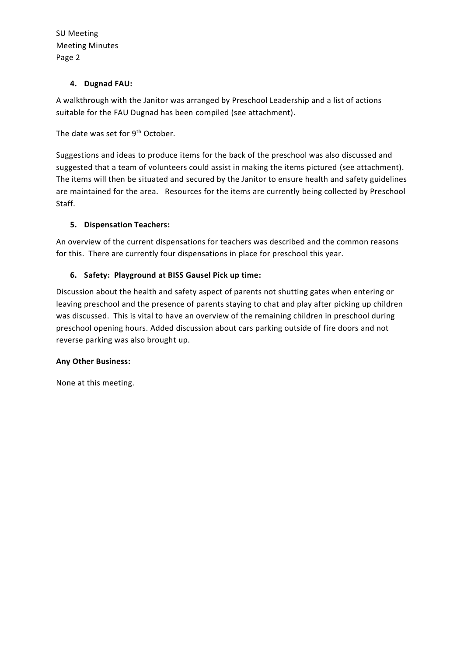SU Meeting Meeting Minutes Page 2

## **4. Dugnad FAU:**

A walkthrough with the Janitor was arranged by Preschool Leadership and a list of actions suitable for the FAU Dugnad has been compiled (see attachment).

The date was set for 9<sup>th</sup> October.

Suggestions and ideas to produce items for the back of the preschool was also discussed and suggested that a team of volunteers could assist in making the items pictured (see attachment). The items will then be situated and secured by the Janitor to ensure health and safety guidelines are maintained for the area. Resources for the items are currently being collected by Preschool Staff.

# **5. Dispensation Teachers:**

An overview of the current dispensations for teachers was described and the common reasons for this. There are currently four dispensations in place for preschool this year.

# **6. Safety: Playground at BISS Gausel Pick up time:**

Discussion about the health and safety aspect of parents not shutting gates when entering or leaving preschool and the presence of parents staying to chat and play after picking up children was discussed. This is vital to have an overview of the remaining children in preschool during preschool opening hours. Added discussion about cars parking outside of fire doors and not reverse parking was also brought up.

### **Any Other Business:**

None at this meeting.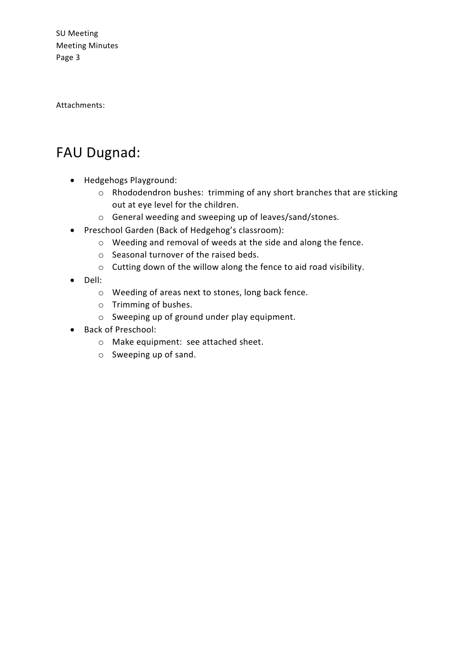SU Meeting Meeting Minutes Page 3

Attachments:

# FAU Dugnad:

- Hedgehogs Playground:
	- o Rhododendron bushes: trimming of any short branches that are sticking out at eye level for the children.
	- o General weeding and sweeping up of leaves/sand/stones.
- Preschool Garden (Back of Hedgehog's classroom):
	- o Weeding and removal of weeds at the side and along the fence.
	- o Seasonal turnover of the raised beds.
	- o Cutting down of the willow along the fence to aid road visibility.
- Dell:
	- o Weeding of areas next to stones, long back fence.
	- o Trimming of bushes.
	- o Sweeping up of ground under play equipment.
- Back of Preschool:
	- o Make equipment: see attached sheet.
	- o Sweeping up of sand.